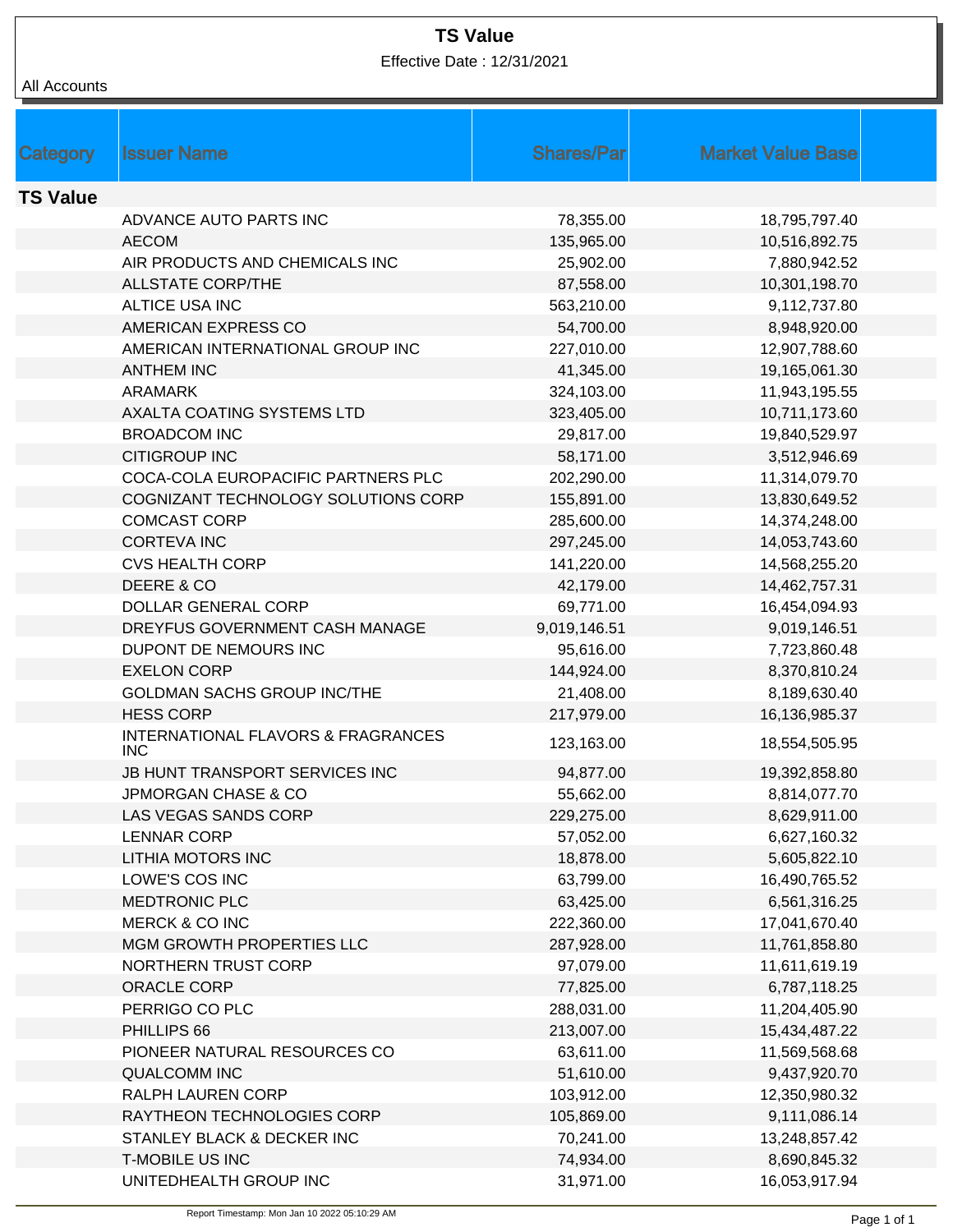## **TS Value**

Effective Date : 12/31/2021

## All Accounts

| Category        | <b>Issuer Name</b>                  | <b>Shares/Parl</b> | <b>Market Value Base</b>      |  |
|-----------------|-------------------------------------|--------------------|-------------------------------|--|
| <b>TS Value</b> |                                     |                    |                               |  |
|                 | ADVANCE AUTO PARTS INC              | 78,355.00          |                               |  |
|                 | <b>AECOM</b>                        | 135,965.00         | 18,795,797.40                 |  |
|                 | AIR PRODUCTS AND CHEMICALS INC      | 25,902.00          | 10,516,892.75<br>7,880,942.52 |  |
|                 | <b>ALLSTATE CORP/THE</b>            | 87,558.00          | 10,301,198.70                 |  |
|                 | ALTICE USA INC                      | 563,210.00         | 9,112,737.80                  |  |
|                 | AMERICAN EXPRESS CO                 | 54,700.00          | 8,948,920.00                  |  |
|                 | AMERICAN INTERNATIONAL GROUP INC    | 227,010.00         | 12,907,788.60                 |  |
|                 | <b>ANTHEM INC</b>                   | 41,345.00          | 19,165,061.30                 |  |
|                 | <b>ARAMARK</b>                      | 324,103.00         | 11,943,195.55                 |  |
|                 | AXALTA COATING SYSTEMS LTD          | 323,405.00         | 10,711,173.60                 |  |
|                 | <b>BROADCOM INC</b>                 | 29,817.00          | 19,840,529.97                 |  |
|                 | <b>CITIGROUP INC</b>                | 58,171.00          | 3,512,946.69                  |  |
|                 | COCA-COLA EUROPACIFIC PARTNERS PLC  | 202,290.00         | 11,314,079.70                 |  |
|                 | COGNIZANT TECHNOLOGY SOLUTIONS CORP | 155,891.00         | 13,830,649.52                 |  |
|                 | <b>COMCAST CORP</b>                 | 285,600.00         | 14,374,248.00                 |  |
|                 | <b>CORTEVA INC</b>                  | 297,245.00         | 14,053,743.60                 |  |
|                 | <b>CVS HEALTH CORP</b>              | 141,220.00         | 14,568,255.20                 |  |
|                 | DEERE & CO                          | 42,179.00          | 14,462,757.31                 |  |
|                 | <b>DOLLAR GENERAL CORP</b>          | 69,771.00          | 16,454,094.93                 |  |
|                 | DREYFUS GOVERNMENT CASH MANAGE      | 9,019,146.51       | 9,019,146.51                  |  |
|                 | DUPONT DE NEMOURS INC               | 95,616.00          | 7,723,860.48                  |  |
|                 | <b>EXELON CORP</b>                  | 144,924.00         | 8,370,810.24                  |  |
|                 | <b>GOLDMAN SACHS GROUP INC/THE</b>  | 21,408.00          | 8,189,630.40                  |  |
|                 | <b>HESS CORP</b>                    | 217,979.00         | 16,136,985.37                 |  |
|                 | INTERNATIONAL FLAVORS & FRAGRANCES  |                    |                               |  |
|                 | INC                                 | 123,163.00         | 18,554,505.95                 |  |
|                 | JB HUNT TRANSPORT SERVICES INC      | 94,877.00          | 19,392,858.80                 |  |
|                 | <b>JPMORGAN CHASE &amp; CO</b>      | 55,662.00          | 8,814,077.70                  |  |
|                 | LAS VEGAS SANDS CORP                | 229,275.00         | 8,629,911.00                  |  |
|                 | <b>LENNAR CORP</b>                  | 57,052.00          | 6,627,160.32                  |  |
|                 | LITHIA MOTORS INC                   | 18,878.00          | 5,605,822.10                  |  |
|                 | LOWE'S COS INC                      | 63,799.00          | 16,490,765.52                 |  |
|                 | <b>MEDTRONIC PLC</b>                | 63,425.00          | 6,561,316.25                  |  |
|                 | <b>MERCK &amp; CO INC</b>           | 222,360.00         | 17,041,670.40                 |  |
|                 | MGM GROWTH PROPERTIES LLC           | 287,928.00         | 11,761,858.80                 |  |
|                 | <b>NORTHERN TRUST CORP</b>          | 97,079.00          | 11,611,619.19                 |  |
|                 | ORACLE CORP                         | 77,825.00          | 6,787,118.25                  |  |
|                 | PERRIGO CO PLC                      | 288,031.00         | 11,204,405.90                 |  |
|                 | PHILLIPS 66                         | 213,007.00         | 15,434,487.22                 |  |
|                 | PIONEER NATURAL RESOURCES CO        | 63,611.00          | 11,569,568.68                 |  |
|                 | <b>QUALCOMM INC</b>                 | 51,610.00          | 9,437,920.70                  |  |
|                 | RALPH LAUREN CORP                   | 103,912.00         | 12,350,980.32                 |  |
|                 | RAYTHEON TECHNOLOGIES CORP          | 105,869.00         | 9,111,086.14                  |  |
|                 | STANLEY BLACK & DECKER INC          | 70,241.00          | 13,248,857.42                 |  |
|                 | <b>T-MOBILE US INC</b>              | 74,934.00          | 8,690,845.32                  |  |
|                 | UNITEDHEALTH GROUP INC              | 31,971.00          | 16,053,917.94                 |  |